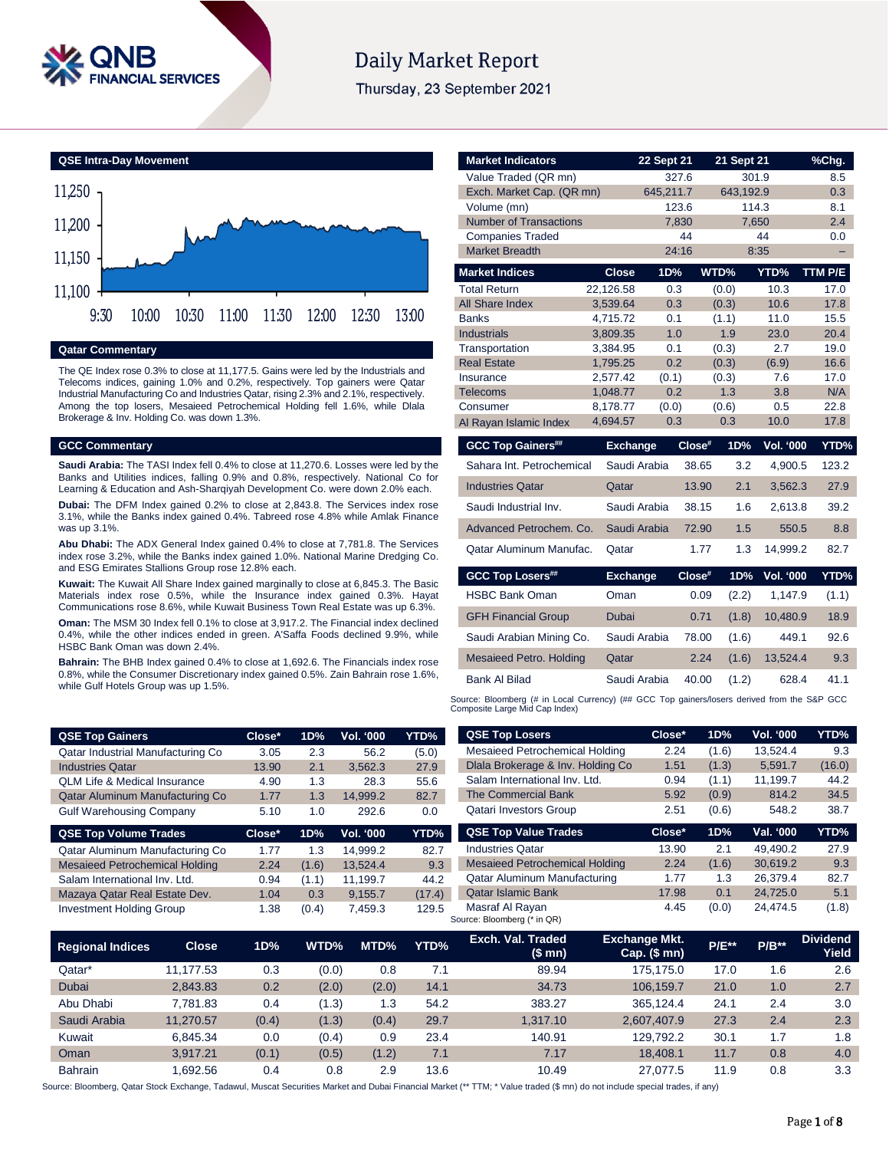

# **Daily Market Report**

Thursday, 23 September 2021



# **Qatar Commentary**

The QE Index rose 0.3% to close at 11,177.5. Gains were led by the Industrials and Telecoms indices, gaining 1.0% and 0.2%, respectively. Top gainers were Qatar Industrial Manufacturing Co and Industries Qatar, rising 2.3% and 2.1%, respectively. Among the top losers, Mesaieed Petrochemical Holding fell 1.6%, while Dlala Brokerage & Inv. Holding Co. was down 1.3%.

### **GCC Commentary**

**Saudi Arabia:** The TASI Index fell 0.4% to close at 11,270.6. Losses were led by the Banks and Utilities indices, falling 0.9% and 0.8%, respectively. National Co for Learning & Education and Ash-Sharqiyah Development Co. were down 2.0% each.

**Dubai:** The DFM Index gained 0.2% to close at 2,843.8. The Services index rose 3.1%, while the Banks index gained 0.4%. Tabreed rose 4.8% while Amlak Finance was up 3.1%.

**Abu Dhabi:** The ADX General Index gained 0.4% to close at 7,781.8. The Services index rose 3.2%, while the Banks index gained 1.0%. National Marine Dredging Co. and ESG Emirates Stallions Group rose 12.8% each.

**Kuwait:** The Kuwait All Share Index gained marginally to close at 6,845.3. The Basic Materials index rose 0.5%, while the Insurance index gained 0.3%. Hayat Communications rose 8.6%, while Kuwait Business Town Real Estate was up 6.3%.

**Oman:** The MSM 30 Index fell 0.1% to close at 3,917.2. The Financial index declined 0.4%, while the other indices ended in green. A'Saffa Foods declined 9.9%, while HSBC Bank Oman was down 2.4%.

**Bahrain:** The BHB Index gained 0.4% to close at 1,692.6. The Financials index rose 0.8%, while the Consumer Discretionary index gained 0.5%. Zain Bahrain rose 1.6%, while Gulf Hotels Group was up 1.5%.

Investment Holding Group 1.38 (0.4) 7,459.3 129.5

| <b>Market Indicators</b>       |                      | 22 Sept 21   |              | 21 Sept 21 |                  | %Chg.        |
|--------------------------------|----------------------|--------------|--------------|------------|------------------|--------------|
| Value Traded (QR mn)           |                      | 327.6        |              | 301.9      |                  | 8.5          |
| Exch. Market Cap. (QR mn)      |                      | 645,211.7    |              | 643,192.9  |                  | 0.3          |
| Volume (mn)                    |                      | 123.6        |              | 114.3      |                  | 8.1          |
| <b>Number of Transactions</b>  |                      | 7,830        |              | 7,650      |                  | 2.4          |
| <b>Companies Traded</b>        |                      | 44           |              |            | 44               | 0.0          |
| <b>Market Breadth</b>          |                      | 24:16        |              | 8:35       |                  |              |
| <b>Market Indices</b>          | <b>Close</b>         | 1D%          | WTD%         |            | YTD%             | TTM P/E      |
| Total Return                   | 22,126.58            | 0.3          | (0.0)        |            | 10.3             | 17.0         |
| All Share Index                | 3,539.64             | 0.3          | (0.3)        |            | 10.6             | 17.8         |
| <b>Banks</b>                   | 4,715.72             | 0.1          | (1.1)        |            | 11.0             | 15.5         |
| <b>Industrials</b>             | 3,809.35             | 1.0          | 1.9          |            | 23.0             | 20.4         |
| Transportation                 | 3,384.95             | 0.1          | (0.3)        |            | 2.7              | 19.0         |
| <b>Real Estate</b>             | 1,795.25             | 0.2          | (0.3)        |            | (6.9)            | 16.6         |
| Insurance                      | 2.577.42             | (0.1)        | (0.3)        |            | 7.6              | 17.0         |
| <b>Telecoms</b>                | 1,048.77             | 0.2          | 1.3          |            | 3.8              | N/A          |
| Consumer                       | 8,178.77<br>4,694.57 | (0.0)<br>0.3 | (0.6)<br>0.3 |            | 0.5<br>10.0      | 22.8<br>17.8 |
| Al Rayan Islamic Index         |                      |              |              |            |                  |              |
|                                |                      |              |              |            |                  |              |
| <b>GCC Top Gainers##</b>       | <b>Exchange</b>      |              | Close#       | 1D%        | <b>Vol. '000</b> |              |
| Sahara Int. Petrochemical      |                      | Saudi Arabia | 38.65        | 3.2        | 4,900.5          | 123.2        |
| <b>Industries Qatar</b>        | Qatar                |              | 13.90        | 2.1        | 3,562.3          | 27.9         |
| Saudi Industrial Inv.          |                      | Saudi Arabia | 38.15        | 1.6        | 2,613.8          | 39.2         |
| Advanced Petrochem. Co.        |                      | Saudi Arabia | 72.90        | 1.5        | 550.5            | YTD%<br>8.8  |
| Qatar Aluminum Manufac.        | Qatar                |              | 1.77         | 1.3        | 14,999.2         | 82.7         |
| <b>GCC Top Losers##</b>        | <b>Exchange</b>      |              | Close#       | 1D%        | <b>Vol. '000</b> |              |
| <b>HSBC Bank Oman</b>          | Oman                 |              | 0.09         | (2.2)      | 1,147.9          | (1.1)        |
| <b>GFH Financial Group</b>     | Dubai                |              | 0.71         | (1.8)      | 10,480.9         | YTD%<br>18.9 |
| Saudi Arabian Mining Co.       |                      | Saudi Arabia | 78.00        | (1.6)      | 449.1            | 92.6         |
| <b>Mesaieed Petro. Holding</b> | Qatar                |              | 2.24         | (1.6)      | 13,524.4         |              |
| <b>Bank Al Bilad</b>           |                      | Saudi Arabia | 40.00        | (1.2)      | 628.4            | 9.3<br>41.1  |

Masraf Al Rayan 1.45 (0.0) 24,474.5 (1.8)

| <b>QSE Top Gainers</b>                  | Close* | 1D%   | Vol. '000 | YTD%   | <b>QSE Top Losers</b>                 | Close* | 1D%   | Vol. '000 | YTD%   |
|-----------------------------------------|--------|-------|-----------|--------|---------------------------------------|--------|-------|-----------|--------|
| Qatar Industrial Manufacturing Co       | 3.05   | 2.3   | 56.2      | (5.0)  | Mesaieed Petrochemical Holding        | 2.24   | (1.6) | 13,524.4  | 9.3    |
| <b>Industries Qatar</b>                 | 13.90  | 2.1   | 3,562.3   | 27.9   | Dlala Brokerage & Inv. Holding Co     | 1.51   | (1.3) | 5,591.7   | (16.0) |
| <b>QLM Life &amp; Medical Insurance</b> | 4.90   | 1.3   | 28.3      | 55.6   | Salam International Inv. Ltd.         | 0.94   | (1.1) | 11,199.7  | 44.2   |
| <b>Qatar Aluminum Manufacturing Co</b>  | 1.77   | 1.3   | 14,999.2  | 82.7   | <b>The Commercial Bank</b>            | 5.92   | (0.9) | 814.2     | 34.5   |
| <b>Gulf Warehousing Company</b>         | 5.10   | 1.0   | 292.6     | 0.0    | <b>Qatari Investors Group</b>         | 2.51   | (0.6) | 548.2     | 38.7   |
| <b>QSE Top Volume Trades</b>            | Close* | 1D%   | Vol. '000 | YTD%   | <b>QSE Top Value Trades</b>           | Close* | 1D%   | Val. '000 | YTD%   |
| Qatar Aluminum Manufacturing Co         | 1.77   | 1.3   | 14,999.2  | 82.7   | <b>Industries Qatar</b>               | 13.90  | 2.1   | 49.490.2  | 27.9   |
| <b>Mesaieed Petrochemical Holding</b>   | 2.24   | (1.6) | 13.524.4  | 9.3    | <b>Mesaieed Petrochemical Holding</b> | 2.24   | (1.6) | 30,619.2  | 9.3    |
| Salam International Inv. Ltd.           | 0.94   | (1.1) | 11.199.7  | 44.2   | Qatar Aluminum Manufacturing          | 1.77   | 1.3   | 26.379.4  | 82.7   |
| Mazaya Qatar Real Estate Dev.           | 1.04   | 0.3   | 9.155.7   | (17.4) | <b>Qatar Islamic Bank</b>             | 17.98  | 0.1   | 24.725.0  | 5.1    |

Source: Bloomberg (\* in QR)

| <b>Regional Indices</b> | <b>Close</b> | 1D%   | WTD%  | MTD%  | YTD% | Exch. Val. Traded<br>(\$mn) | <b>Exchange Mkt.</b><br>Cap. $($mn)$ | <b>P/E**</b> | $P/B**$ | <b>Dividend</b><br>Yield |
|-------------------------|--------------|-------|-------|-------|------|-----------------------------|--------------------------------------|--------------|---------|--------------------------|
| Qatar*                  | 11.177.53    | 0.3   | (0.0) | 0.8   | 7.1  | 89.94                       | 175.175.0                            | 17.0         | 1.6     | 2.6                      |
| <b>Dubai</b>            | 2,843.83     | 0.2   | (2.0) | (2.0) | 14.1 | 34.73                       | 106.159.7                            | 21.0         | 1.0     | 2.7                      |
| Abu Dhabi               | 7.781.83     | 0.4   | (1.3) | 1.3   | 54.2 | 383.27                      | 365.124.4                            | 24.1         | 2.4     | 3.0                      |
| Saudi Arabia            | 11.270.57    | (0.4) | (1.3) | (0.4) | 29.7 | 1.317.10                    | 2.607.407.9                          | 27.3         | 2.4     | 2.3                      |
| Kuwait                  | 6.845.34     | 0.0   | (0.4) | 0.9   | 23.4 | 140.91                      | 129.792.2                            | 30.1         | 1.7     | 1.8                      |
| Oman                    | 3.917.21     | (0.1) | (0.5) | (1.2) | 7.1  | 7.17                        | 18.408.1                             | 11.7         | 0.8     | 4.0                      |
| <b>Bahrain</b>          | 1.692.56     | 0.4   | 0.8   | 2.9   | 13.6 | 10.49                       | 27.077.5                             | 11.9         | 0.8     | 3.3                      |

Source: Bloomberg, Qatar Stock Exchange, Tadawul, Muscat Securities Market and Dubai Financial Market (\*\* TTM; \* Value traded (\$ mn) do not include special trades, if any)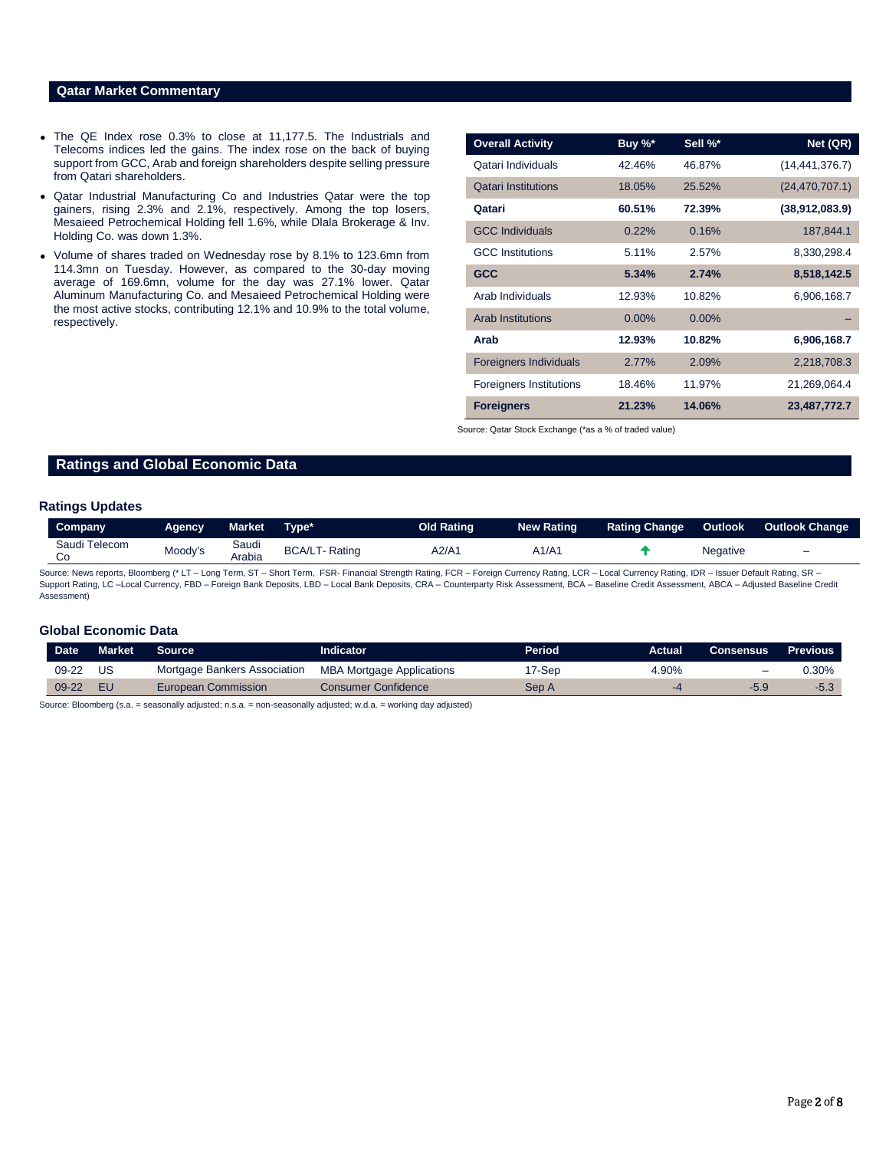# **Qatar Market Commentary**

- The QE Index rose 0.3% to close at 11,177.5. The Industrials and Telecoms indices led the gains. The index rose on the back of buying support from GCC, Arab and foreign shareholders despite selling pressure from Qatari shareholders.
- Qatar Industrial Manufacturing Co and Industries Qatar were the top gainers, rising 2.3% and 2.1%, respectively. Among the top losers, Mesaieed Petrochemical Holding fell 1.6%, while Dlala Brokerage & Inv. Holding Co. was down 1.3%.
- Volume of shares traded on Wednesday rose by 8.1% to 123.6mn from 114.3mn on Tuesday. However, as compared to the 30-day moving average of 169.6mn, volume for the day was 27.1% lower. Qatar Aluminum Manufacturing Co. and Mesaieed Petrochemical Holding were the most active stocks, contributing 12.1% and 10.9% to the total volume, respectively.

| <b>Overall Activity</b>        | Buy %*   | Sell %*  | Net (QR)         |
|--------------------------------|----------|----------|------------------|
| Qatari Individuals             | 42.46%   | 46.87%   | (14, 441, 376.7) |
| <b>Qatari Institutions</b>     | 18.05%   | 25.52%   | (24, 470, 707.1) |
| Qatari                         | 60.51%   | 72.39%   | (38,912,083.9)   |
| <b>GCC Individuals</b>         | 0.22%    | 0.16%    | 187,844.1        |
| <b>GCC</b> Institutions        | 5.11%    | 2.57%    | 8,330,298.4      |
| <b>GCC</b>                     | 5.34%    | 2.74%    | 8,518,142.5      |
| Arab Individuals               | 12.93%   | 10.82%   | 6,906,168.7      |
| <b>Arab Institutions</b>       | $0.00\%$ | $0.00\%$ |                  |
| Arab                           | 12.93%   | 10.82%   | 6,906,168.7      |
| <b>Foreigners Individuals</b>  | 2.77%    | 2.09%    | 2,218,708.3      |
| <b>Foreigners Institutions</b> | 18.46%   | 11.97%   | 21,269,064.4     |
| <b>Foreigners</b>              | 21.23%   | 14.06%   | 23,487,772.7     |

Source: Qatar Stock Exchange (\*as a % of traded value)

# **Ratings and Global Economic Data**

### **Ratings Updates**

| Company       | Agency  | Market          | $T$ vpe $*$                | Old Rating        | <b>New Rating</b> | <b>Rating Change</b> | <b>Outlook</b>  | <b>Outlook Change</b> |
|---------------|---------|-----------------|----------------------------|-------------------|-------------------|----------------------|-----------------|-----------------------|
| Saudi Telecom | Moody's | Saudi<br>Arabia | <b>BCA/LT-</b><br>- Rating | 42/A <sub>1</sub> | A1/A              |                      | <b>Negative</b> | -                     |

Source: News reports, Bloomberg (\* LT – Long Term, ST – Short Term, FSR- Financial Strength Rating, FCR – Foreign Currency Rating, LCR – Local Currency Rating, IDR – Issuer Default Rating, SR – Support Rating, LC -Local Currency, FBD - Foreign Bank Deposits, LBD - Local Bank Deposits, CRA - Counterparty Risk Assessment, BCA - Baseline Credit Assessment, ABCA - Adjusted Baseline Credit Assessment)

# **Global Economic Data**

| <b>Date</b> | Market | <b>Source</b>                | 'Indicator                       | Period | Actual | Consensus | <b>Previous</b> |
|-------------|--------|------------------------------|----------------------------------|--------|--------|-----------|-----------------|
| 09-22       | US     | Mortgage Bankers Association | <b>MBA Mortgage Applications</b> | 7-Sep  | 4.90%  | -         | 0.30%           |
| 09-22       | EU     | European Commission          | Consumer Confidence              | Sep A  |        | -5.9      | $-5.3$          |

Source: Bloomberg (s.a. = seasonally adjusted; n.s.a. = non-seasonally adjusted; w.d.a. = working day adjusted)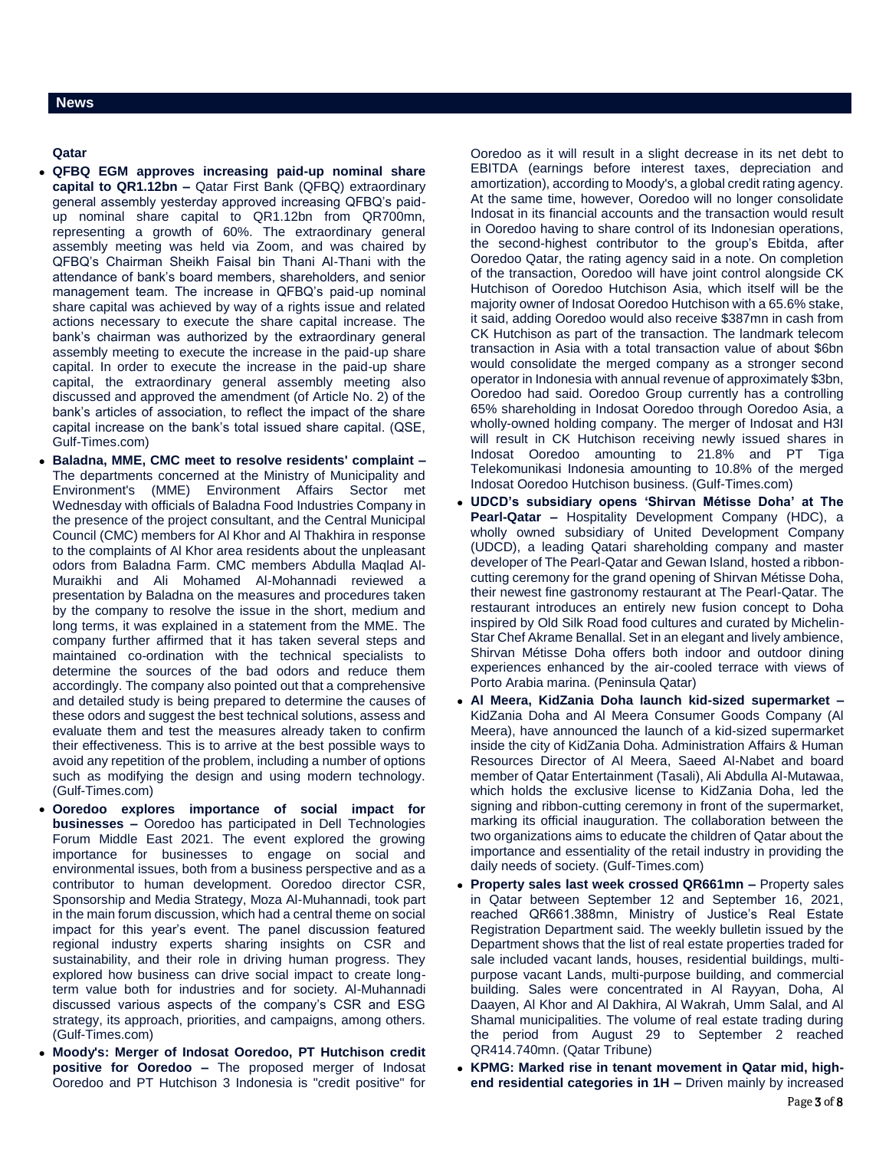# **News**

# **Qatar**

- **QFBQ EGM approves increasing paid-up nominal share capital to QR1.12bn –** Qatar First Bank (QFBQ) extraordinary general assembly yesterday approved increasing QFBQ's paidup nominal share capital to QR1.12bn from QR700mn, representing a growth of 60%. The extraordinary general assembly meeting was held via Zoom, and was chaired by QFBQ's Chairman Sheikh Faisal bin Thani Al-Thani with the attendance of bank's board members, shareholders, and senior management team. The increase in QFBQ's paid-up nominal share capital was achieved by way of a rights issue and related actions necessary to execute the share capital increase. The bank's chairman was authorized by the extraordinary general assembly meeting to execute the increase in the paid-up share capital. In order to execute the increase in the paid-up share capital, the extraordinary general assembly meeting also discussed and approved the amendment (of Article No. 2) of the bank's articles of association, to reflect the impact of the share capital increase on the bank's total issued share capital. (QSE, Gulf-Times.com)
- **Baladna, MME, CMC meet to resolve residents' complaint –** The departments concerned at the Ministry of Municipality and Environment's (MME) Environment Affairs Sector met Wednesday with officials of Baladna Food Industries Company in the presence of the project consultant, and the Central Municipal Council (CMC) members for Al Khor and Al Thakhira in response to the complaints of Al Khor area residents about the unpleasant odors from Baladna Farm. CMC members Abdulla Maqlad Al-Muraikhi and Ali Mohamed Al-Mohannadi reviewed a presentation by Baladna on the measures and procedures taken by the company to resolve the issue in the short, medium and long terms, it was explained in a statement from the MME. The company further affirmed that it has taken several steps and maintained co-ordination with the technical specialists to determine the sources of the bad odors and reduce them accordingly. The company also pointed out that a comprehensive and detailed study is being prepared to determine the causes of these odors and suggest the best technical solutions, assess and evaluate them and test the measures already taken to confirm their effectiveness. This is to arrive at the best possible ways to avoid any repetition of the problem, including a number of options such as modifying the design and using modern technology. (Gulf-Times.com)
- **Ooredoo explores importance of social impact for businesses –** Ooredoo has participated in Dell Technologies Forum Middle East 2021. The event explored the growing importance for businesses to engage on social and environmental issues, both from a business perspective and as a contributor to human development. Ooredoo director CSR, Sponsorship and Media Strategy, Moza Al-Muhannadi, took part in the main forum discussion, which had a central theme on social impact for this year's event. The panel discussion featured regional industry experts sharing insights on CSR and sustainability, and their role in driving human progress. They explored how business can drive social impact to create longterm value both for industries and for society. Al-Muhannadi discussed various aspects of the company's CSR and ESG strategy, its approach, priorities, and campaigns, among others. (Gulf-Times.com)
- **Moody's: Merger of Indosat Ooredoo, PT Hutchison credit positive for Ooredoo –** The proposed merger of Indosat Ooredoo and PT Hutchison 3 Indonesia is "credit positive" for

Ooredoo as it will result in a slight decrease in its net debt to EBITDA (earnings before interest taxes, depreciation and amortization), according to Moody's, a global credit rating agency. At the same time, however, Ooredoo will no longer consolidate Indosat in its financial accounts and the transaction would result in Ooredoo having to share control of its Indonesian operations, the second-highest contributor to the group's Ebitda, after Ooredoo Qatar, the rating agency said in a note. On completion of the transaction, Ooredoo will have joint control alongside CK Hutchison of Ooredoo Hutchison Asia, which itself will be the majority owner of Indosat Ooredoo Hutchison with a 65.6% stake, it said, adding Ooredoo would also receive \$387mn in cash from CK Hutchison as part of the transaction. The landmark telecom transaction in Asia with a total transaction value of about \$6bn would consolidate the merged company as a stronger second operator in Indonesia with annual revenue of approximately \$3bn, Ooredoo had said. Ooredoo Group currently has a controlling 65% shareholding in Indosat Ooredoo through Ooredoo Asia, a wholly-owned holding company. The merger of Indosat and H3I will result in CK Hutchison receiving newly issued shares in Indosat Ooredoo amounting to 21.8% and PT Tiga Telekomunikasi Indonesia amounting to 10.8% of the merged Indosat Ooredoo Hutchison business. (Gulf-Times.com)

- **UDCD's subsidiary opens 'Shirvan Métisse Doha' at The Pearl-Qatar –** Hospitality Development Company (HDC), a wholly owned subsidiary of United Development Company (UDCD), a leading Qatari shareholding company and master developer of The Pearl-Qatar and Gewan Island, hosted a ribboncutting ceremony for the grand opening of Shirvan Métisse Doha, their newest fine gastronomy restaurant at The Pearl-Qatar. The restaurant introduces an entirely new fusion concept to Doha inspired by Old Silk Road food cultures and curated by Michelin-Star Chef Akrame Benallal. Set in an elegant and lively ambience, Shirvan Métisse Doha offers both indoor and outdoor dining experiences enhanced by the air-cooled terrace with views of Porto Arabia marina. (Peninsula Qatar)
- **Al Meera, KidZania Doha launch kid-sized supermarket –** KidZania Doha and Al Meera Consumer Goods Company (Al Meera), have announced the launch of a kid-sized supermarket inside the city of KidZania Doha. Administration Affairs & Human Resources Director of Al Meera, Saeed Al-Nabet and board member of Qatar Entertainment (Tasali), Ali Abdulla Al-Mutawaa, which holds the exclusive license to KidZania Doha, led the signing and ribbon-cutting ceremony in front of the supermarket, marking its official inauguration. The collaboration between the two organizations aims to educate the children of Qatar about the importance and essentiality of the retail industry in providing the daily needs of society. (Gulf-Times.com)
- **Property sales last week crossed QR661mn –** Property sales in Qatar between September 12 and September 16, 2021, reached QR661.388mn, Ministry of Justice's Real Estate Registration Department said. The weekly bulletin issued by the Department shows that the list of real estate properties traded for sale included vacant lands, houses, residential buildings, multipurpose vacant Lands, multi-purpose building, and commercial building. Sales were concentrated in Al Rayyan, Doha, Al Daayen, Al Khor and Al Dakhira, Al Wakrah, Umm Salal, and Al Shamal municipalities. The volume of real estate trading during the period from August 29 to September 2 reached QR414.740mn. (Qatar Tribune)
- **KPMG: Marked rise in tenant movement in Qatar mid, highend residential categories in 1H –** Driven mainly by increased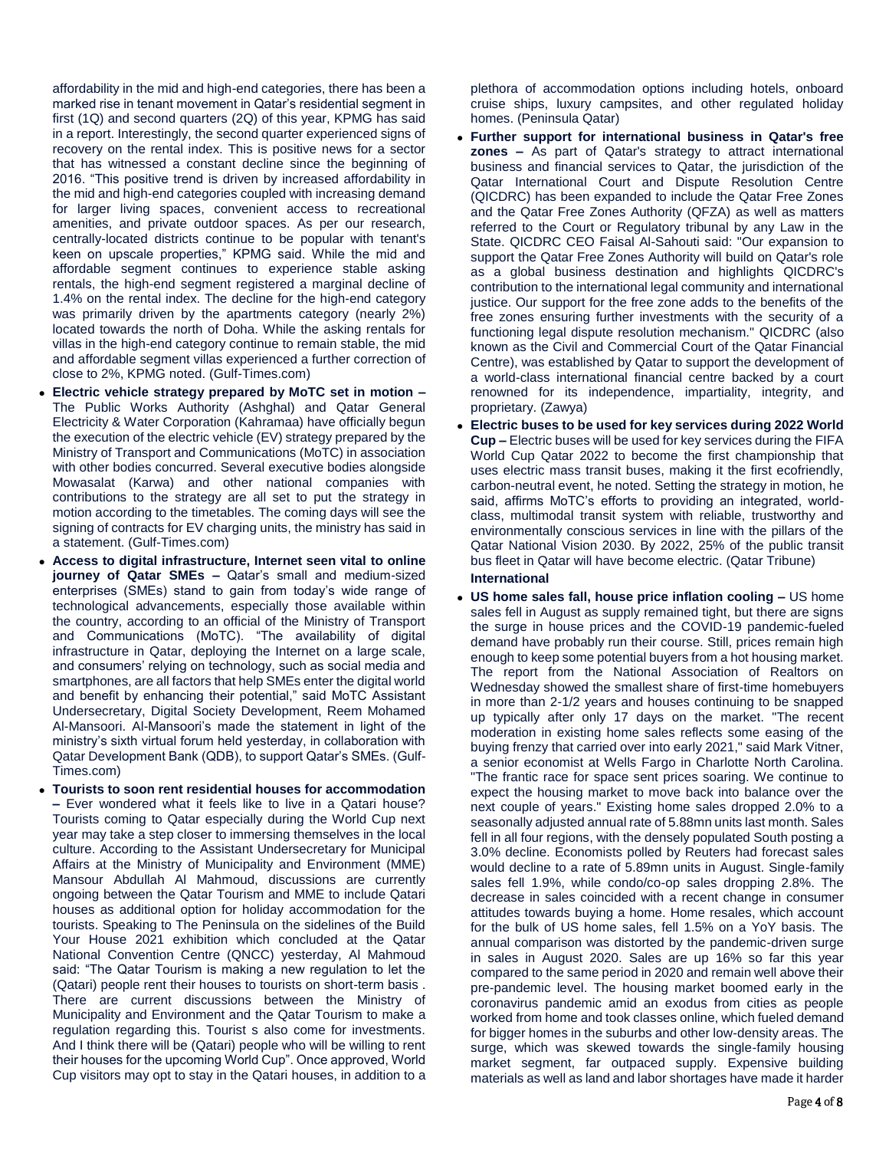affordability in the mid and high-end categories, there has been a marked rise in tenant movement in Qatar's residential segment in first (1Q) and second quarters (2Q) of this year, KPMG has said in a report. Interestingly, the second quarter experienced signs of recovery on the rental index. This is positive news for a sector that has witnessed a constant decline since the beginning of 2016. "This positive trend is driven by increased affordability in the mid and high-end categories coupled with increasing demand for larger living spaces, convenient access to recreational amenities, and private outdoor spaces. As per our research, centrally-located districts continue to be popular with tenant's keen on upscale properties," KPMG said. While the mid and affordable segment continues to experience stable asking rentals, the high-end segment registered a marginal decline of 1.4% on the rental index. The decline for the high-end category was primarily driven by the apartments category (nearly 2%) located towards the north of Doha. While the asking rentals for villas in the high-end category continue to remain stable, the mid and affordable segment villas experienced a further correction of close to 2%, KPMG noted. (Gulf-Times.com)

- **Electric vehicle strategy prepared by MoTC set in motion –** The Public Works Authority (Ashghal) and Qatar General Electricity & Water Corporation (Kahramaa) have officially begun the execution of the electric vehicle (EV) strategy prepared by the Ministry of Transport and Communications (MoTC) in association with other bodies concurred. Several executive bodies alongside Mowasalat (Karwa) and other national companies with contributions to the strategy are all set to put the strategy in motion according to the timetables. The coming days will see the signing of contracts for EV charging units, the ministry has said in a statement. (Gulf-Times.com)
- **Access to digital infrastructure, Internet seen vital to online journey of Qatar SMEs –** Qatar's small and medium-sized enterprises (SMEs) stand to gain from today's wide range of technological advancements, especially those available within the country, according to an official of the Ministry of Transport and Communications (MoTC). "The availability of digital infrastructure in Qatar, deploying the Internet on a large scale, and consumers' relying on technology, such as social media and smartphones, are all factors that help SMEs enter the digital world and benefit by enhancing their potential," said MoTC Assistant Undersecretary, Digital Society Development, Reem Mohamed Al-Mansoori. Al-Mansoori's made the statement in light of the ministry's sixth virtual forum held yesterday, in collaboration with Qatar Development Bank (QDB), to support Qatar's SMEs. (Gulf-Times.com)
- **Tourists to soon rent residential houses for accommodation –** Ever wondered what it feels like to live in a Qatari house? Tourists coming to Qatar especially during the World Cup next year may take a step closer to immersing themselves in the local culture. According to the Assistant Undersecretary for Municipal Affairs at the Ministry of Municipality and Environment (MME) Mansour Abdullah Al Mahmoud, discussions are currently ongoing between the Qatar Tourism and MME to include Qatari houses as additional option for holiday accommodation for the tourists. Speaking to The Peninsula on the sidelines of the Build Your House 2021 exhibition which concluded at the Qatar National Convention Centre (QNCC) yesterday, Al Mahmoud said: "The Qatar Tourism is making a new regulation to let the (Qatari) people rent their houses to tourists on short-term basis . There are current discussions between the Ministry of Municipality and Environment and the Qatar Tourism to make a regulation regarding this. Tourist s also come for investments. And I think there will be (Qatari) people who will be willing to rent their houses for the upcoming World Cup". Once approved, World Cup visitors may opt to stay in the Qatari houses, in addition to a

plethora of accommodation options including hotels, onboard cruise ships, luxury campsites, and other regulated holiday homes. (Peninsula Qatar)

- **Further support for international business in Qatar's free zones –** As part of Qatar's strategy to attract international business and financial services to Qatar, the jurisdiction of the Qatar International Court and Dispute Resolution Centre (QICDRC) has been expanded to include the Qatar Free Zones and the Qatar Free Zones Authority (QFZA) as well as matters referred to the Court or Regulatory tribunal by any Law in the State. QICDRC CEO Faisal Al-Sahouti said: "Our expansion to support the Qatar Free Zones Authority will build on Qatar's role as a global business destination and highlights QICDRC's contribution to the international legal community and international justice. Our support for the free zone adds to the benefits of the free zones ensuring further investments with the security of a functioning legal dispute resolution mechanism." QICDRC (also known as the Civil and Commercial Court of the Qatar Financial Centre), was established by Qatar to support the development of a world-class international financial centre backed by a court renowned for its independence, impartiality, integrity, and proprietary. (Zawya)
- **Electric buses to be used for key services during 2022 World Cup –** Electric buses will be used for key services during the FIFA World Cup Qatar 2022 to become the first championship that uses electric mass transit buses, making it the first ecofriendly, carbon-neutral event, he noted. Setting the strategy in motion, he said, affirms MoTC's efforts to providing an integrated, worldclass, multimodal transit system with reliable, trustworthy and environmentally conscious services in line with the pillars of the Qatar National Vision 2030. By 2022, 25% of the public transit bus fleet in Qatar will have become electric. (Qatar Tribune) **International**
- **US home sales fall, house price inflation cooling –** US home sales fell in August as supply remained tight, but there are signs the surge in house prices and the COVID-19 pandemic-fueled demand have probably run their course. Still, prices remain high enough to keep some potential buyers from a hot housing market. The report from the National Association of Realtors on Wednesday showed the smallest share of first-time homebuyers in more than 2-1/2 years and houses continuing to be snapped up typically after only 17 days on the market. "The recent moderation in existing home sales reflects some easing of the buying frenzy that carried over into early 2021," said Mark Vitner, a senior economist at Wells Fargo in Charlotte North Carolina. "The frantic race for space sent prices soaring. We continue to expect the housing market to move back into balance over the next couple of years." Existing home sales dropped 2.0% to a seasonally adjusted annual rate of 5.88mn units last month. Sales fell in all four regions, with the densely populated South posting a 3.0% decline. Economists polled by Reuters had forecast sales would decline to a rate of 5.89mn units in August. Single-family sales fell 1.9%, while condo/co-op sales dropping 2.8%. The decrease in sales coincided with a recent change in consumer attitudes towards buying a home. Home resales, which account for the bulk of US home sales, fell 1.5% on a YoY basis. The annual comparison was distorted by the pandemic-driven surge in sales in August 2020. Sales are up 16% so far this year compared to the same period in 2020 and remain well above their pre-pandemic level. The housing market boomed early in the coronavirus pandemic amid an exodus from cities as people worked from home and took classes online, which fueled demand for bigger homes in the suburbs and other low-density areas. The surge, which was skewed towards the single-family housing market segment, far outpaced supply. Expensive building materials as well as land and labor shortages have made it harder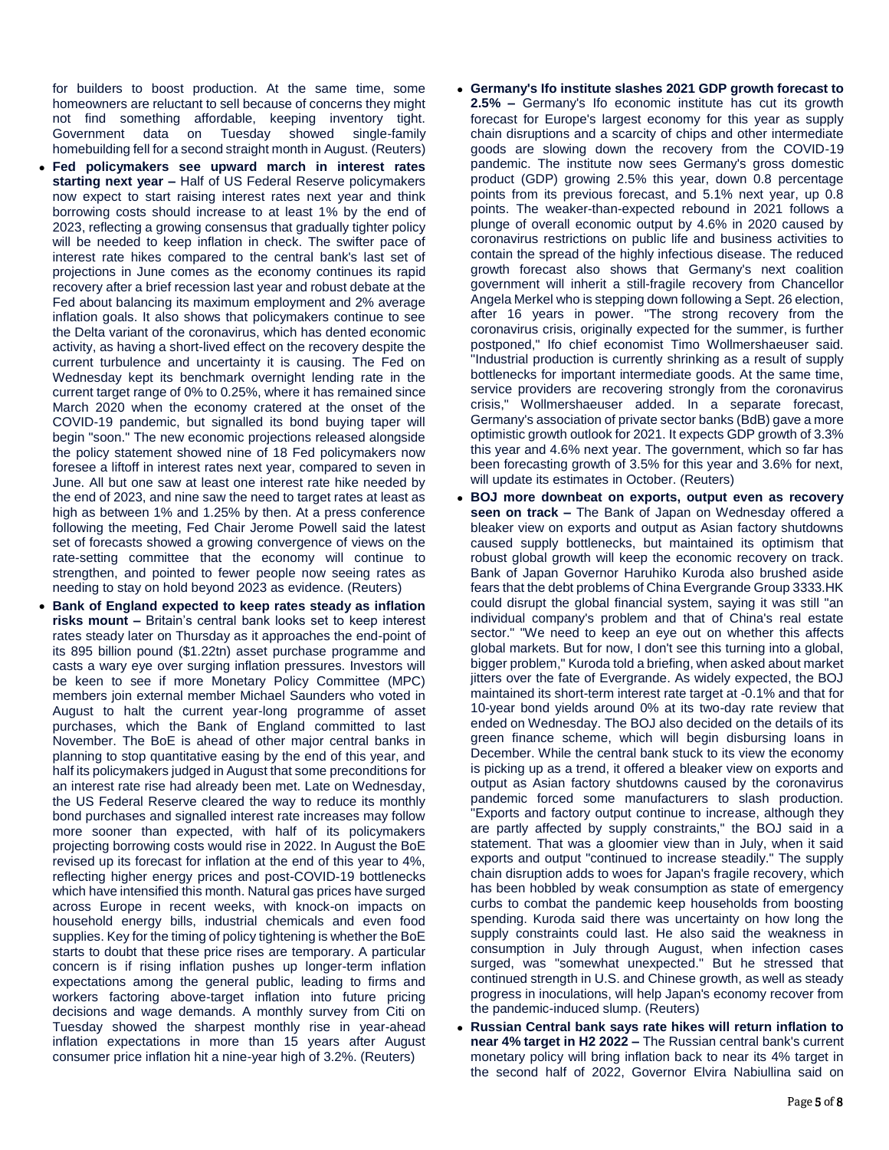for builders to boost production. At the same time, some homeowners are reluctant to sell because of concerns they might not find something affordable, keeping inventory tight. Government data on Tuesday showed single-family homebuilding fell for a second straight month in August. (Reuters)

- **Fed policymakers see upward march in interest rates starting next year –** Half of US Federal Reserve policymakers now expect to start raising interest rates next year and think borrowing costs should increase to at least 1% by the end of 2023, reflecting a growing consensus that gradually tighter policy will be needed to keep inflation in check. The swifter pace of interest rate hikes compared to the central bank's last set of projections in June comes as the economy continues its rapid recovery after a brief recession last year and robust debate at the Fed about balancing its maximum employment and 2% average inflation goals. It also shows that policymakers continue to see the Delta variant of the coronavirus, which has dented economic activity, as having a short-lived effect on the recovery despite the current turbulence and uncertainty it is causing. The Fed on Wednesday kept its benchmark overnight lending rate in the current target range of 0% to 0.25%, where it has remained since March 2020 when the economy cratered at the onset of the COVID-19 pandemic, but signalled its bond buying taper will begin "soon." The new economic projections released alongside the policy statement showed nine of 18 Fed policymakers now foresee a liftoff in interest rates next year, compared to seven in June. All but one saw at least one interest rate hike needed by the end of 2023, and nine saw the need to target rates at least as high as between 1% and 1.25% by then. At a press conference following the meeting, Fed Chair Jerome Powell said the latest set of forecasts showed a growing convergence of views on the rate-setting committee that the economy will continue to strengthen, and pointed to fewer people now seeing rates as needing to stay on hold beyond 2023 as evidence. (Reuters)
- **Bank of England expected to keep rates steady as inflation risks mount –** Britain's central bank looks set to keep interest rates steady later on Thursday as it approaches the end-point of its 895 billion pound (\$1.22tn) asset purchase programme and casts a wary eye over surging inflation pressures. Investors will be keen to see if more Monetary Policy Committee (MPC) members join external member Michael Saunders who voted in August to halt the current year-long programme of asset purchases, which the Bank of England committed to last November. The BoE is ahead of other major central banks in planning to stop quantitative easing by the end of this year, and half its policymakers judged in August that some preconditions for an interest rate rise had already been met. Late on Wednesday, the US Federal Reserve cleared the way to reduce its monthly bond purchases and signalled interest rate increases may follow more sooner than expected, with half of its policymakers projecting borrowing costs would rise in 2022. In August the BoE revised up its forecast for inflation at the end of this year to 4%, reflecting higher energy prices and post-COVID-19 bottlenecks which have intensified this month. Natural gas prices have surged across Europe in recent weeks, with knock-on impacts on household energy bills, industrial chemicals and even food supplies. Key for the timing of policy tightening is whether the BoE starts to doubt that these price rises are temporary. A particular concern is if rising inflation pushes up longer-term inflation expectations among the general public, leading to firms and workers factoring above-target inflation into future pricing decisions and wage demands. A monthly survey from Citi on Tuesday showed the sharpest monthly rise in year-ahead inflation expectations in more than 15 years after August consumer price inflation hit a nine-year high of 3.2%. (Reuters)
- **Germany's Ifo institute slashes 2021 GDP growth forecast to 2.5% –** Germany's Ifo economic institute has cut its growth forecast for Europe's largest economy for this year as supply chain disruptions and a scarcity of chips and other intermediate goods are slowing down the recovery from the COVID-19 pandemic. The institute now sees Germany's gross domestic product (GDP) growing 2.5% this year, down 0.8 percentage points from its previous forecast, and 5.1% next year, up 0.8 points. The weaker-than-expected rebound in 2021 follows a plunge of overall economic output by 4.6% in 2020 caused by coronavirus restrictions on public life and business activities to contain the spread of the highly infectious disease. The reduced growth forecast also shows that Germany's next coalition government will inherit a still-fragile recovery from Chancellor Angela Merkel who is stepping down following a Sept. 26 election, after 16 years in power. "The strong recovery from the coronavirus crisis, originally expected for the summer, is further postponed," Ifo chief economist Timo Wollmershaeuser said. "Industrial production is currently shrinking as a result of supply bottlenecks for important intermediate goods. At the same time, service providers are recovering strongly from the coronavirus crisis," Wollmershaeuser added. In a separate forecast, Germany's association of private sector banks (BdB) gave a more optimistic growth outlook for 2021. It expects GDP growth of 3.3% this year and 4.6% next year. The government, which so far has been forecasting growth of 3.5% for this year and 3.6% for next, will update its estimates in October. (Reuters)
- **BOJ more downbeat on exports, output even as recovery seen on track –** The Bank of Japan on Wednesday offered a bleaker view on exports and output as Asian factory shutdowns caused supply bottlenecks, but maintained its optimism that robust global growth will keep the economic recovery on track. Bank of Japan Governor Haruhiko Kuroda also brushed aside fears that the debt problems of China Evergrande Group 3333.HK could disrupt the global financial system, saying it was still "an individual company's problem and that of China's real estate sector." "We need to keep an eye out on whether this affects global markets. But for now, I don't see this turning into a global, bigger problem," Kuroda told a briefing, when asked about market jitters over the fate of Evergrande. As widely expected, the BOJ maintained its short-term interest rate target at -0.1% and that for 10-year bond yields around 0% at its two-day rate review that ended on Wednesday. The BOJ also decided on the details of its green finance scheme, which will begin disbursing loans in December. While the central bank stuck to its view the economy is picking up as a trend, it offered a bleaker view on exports and output as Asian factory shutdowns caused by the coronavirus pandemic forced some manufacturers to slash production. "Exports and factory output continue to increase, although they are partly affected by supply constraints," the BOJ said in a statement. That was a gloomier view than in July, when it said exports and output "continued to increase steadily." The supply chain disruption adds to woes for Japan's fragile recovery, which has been hobbled by weak consumption as state of emergency curbs to combat the pandemic keep households from boosting spending. Kuroda said there was uncertainty on how long the supply constraints could last. He also said the weakness in consumption in July through August, when infection cases surged, was "somewhat unexpected." But he stressed that continued strength in U.S. and Chinese growth, as well as steady progress in inoculations, will help Japan's economy recover from the pandemic-induced slump. (Reuters)
- **Russian Central bank says rate hikes will return inflation to near 4% target in H2 2022 –** The Russian central bank's current monetary policy will bring inflation back to near its 4% target in the second half of 2022, Governor Elvira Nabiullina said on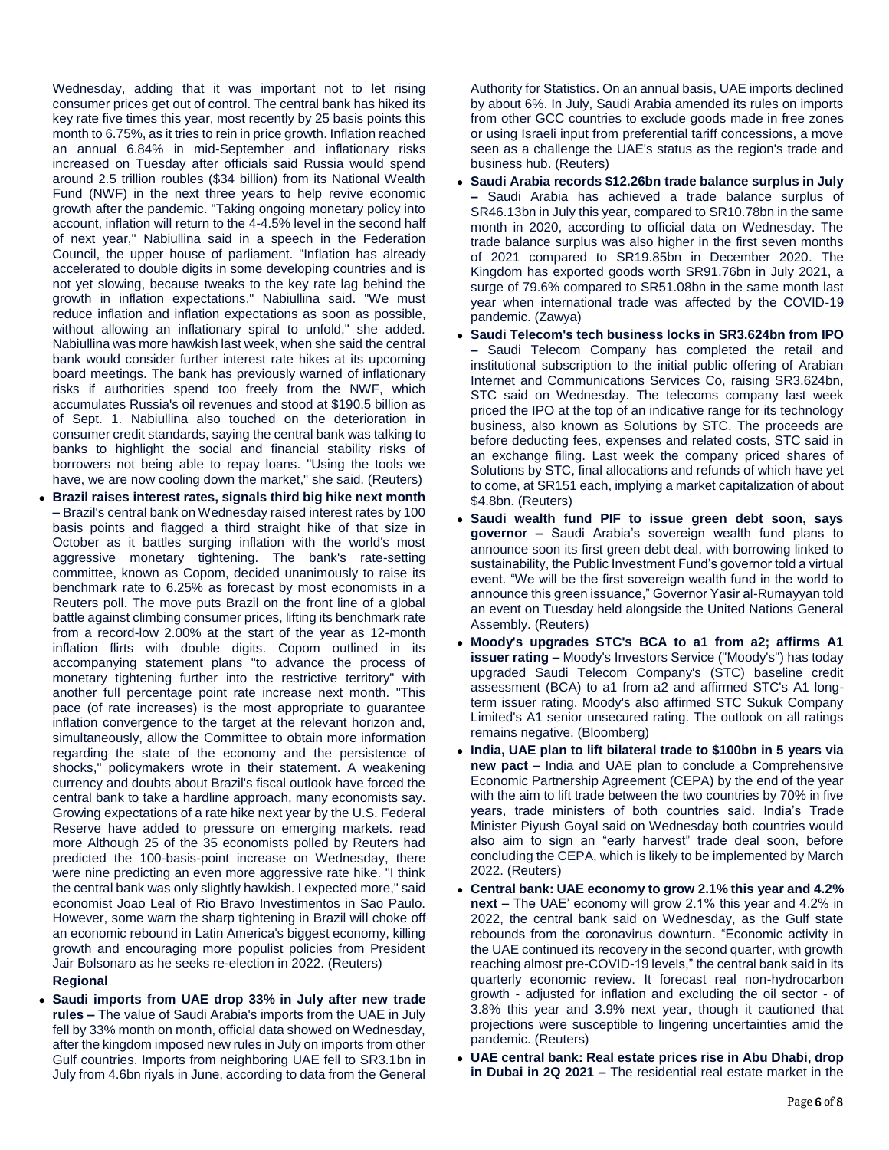Wednesday, adding that it was important not to let rising consumer prices get out of control. The central bank has hiked its key rate five times this year, most recently by 25 basis points this month to 6.75%, as it tries to rein in price growth. Inflation reached an annual 6.84% in mid-September and inflationary risks increased on Tuesday after officials said Russia would spend around 2.5 trillion roubles (\$34 billion) from its National Wealth Fund (NWF) in the next three years to help revive economic growth after the pandemic. "Taking ongoing monetary policy into account, inflation will return to the 4-4.5% level in the second half of next year," Nabiullina said in a speech in the Federation Council, the upper house of parliament. "Inflation has already accelerated to double digits in some developing countries and is not yet slowing, because tweaks to the key rate lag behind the growth in inflation expectations." Nabiullina said. "We must reduce inflation and inflation expectations as soon as possible, without allowing an inflationary spiral to unfold," she added. Nabiullina was more hawkish last week, when she said the central bank would consider further interest rate hikes at its upcoming board meetings. The bank has previously warned of inflationary risks if authorities spend too freely from the NWF, which accumulates Russia's oil revenues and stood at \$190.5 billion as of Sept. 1. Nabiullina also touched on the deterioration in consumer credit standards, saying the central bank was talking to banks to highlight the social and financial stability risks of borrowers not being able to repay loans. "Using the tools we have, we are now cooling down the market," she said. (Reuters)

- **Brazil raises interest rates, signals third big hike next month –** Brazil's central bank on Wednesday raised interest rates by 100 basis points and flagged a third straight hike of that size in October as it battles surging inflation with the world's most aggressive monetary tightening. The bank's rate-setting committee, known as Copom, decided unanimously to raise its benchmark rate to 6.25% as forecast by most economists in a Reuters poll. The move puts Brazil on the front line of a global battle against climbing consumer prices, lifting its benchmark rate from a record-low 2.00% at the start of the year as 12-month inflation flirts with double digits. Copom outlined in its accompanying statement plans "to advance the process of monetary tightening further into the restrictive territory" with another full percentage point rate increase next month. "This pace (of rate increases) is the most appropriate to guarantee inflation convergence to the target at the relevant horizon and, simultaneously, allow the Committee to obtain more information regarding the state of the economy and the persistence of shocks," policymakers wrote in their statement. A weakening currency and doubts about Brazil's fiscal outlook have forced the central bank to take a hardline approach, many economists say. Growing expectations of a rate hike next year by the U.S. Federal Reserve have added to pressure on emerging markets. read more Although 25 of the 35 economists polled by Reuters had predicted the 100-basis-point increase on Wednesday, there were nine predicting an even more aggressive rate hike. "I think the central bank was only slightly hawkish. I expected more," said economist Joao Leal of Rio Bravo Investimentos in Sao Paulo. However, some warn the sharp tightening in Brazil will choke off an economic rebound in Latin America's biggest economy, killing growth and encouraging more populist policies from President Jair Bolsonaro as he seeks re-election in 2022. (Reuters) **Regional**
- **Saudi imports from UAE drop 33% in July after new trade rules –** The value of Saudi Arabia's imports from the UAE in July fell by 33% month on month, official data showed on Wednesday, after the kingdom imposed new rules in July on imports from other Gulf countries. Imports from neighboring UAE fell to SR3.1bn in July from 4.6bn riyals in June, according to data from the General

Authority for Statistics. On an annual basis, UAE imports declined by about 6%. In July, Saudi Arabia amended its rules on imports from other GCC countries to exclude goods made in free zones or using Israeli input from preferential tariff concessions, a move seen as a challenge the UAE's status as the region's trade and business hub. (Reuters)

- **Saudi Arabia records \$12.26bn trade balance surplus in July –** Saudi Arabia has achieved a trade balance surplus of SR46.13bn in July this year, compared to SR10.78bn in the same month in 2020, according to official data on Wednesday. The trade balance surplus was also higher in the first seven months of 2021 compared to SR19.85bn in December 2020. The Kingdom has exported goods worth SR91.76bn in July 2021, a surge of 79.6% compared to SR51.08bn in the same month last year when international trade was affected by the COVID-19 pandemic. (Zawya)
- **Saudi Telecom's tech business locks in SR3.624bn from IPO –** Saudi Telecom Company has completed the retail and institutional subscription to the initial public offering of Arabian Internet and Communications Services Co, raising SR3.624bn, STC said on Wednesday. The telecoms company last week priced the IPO at the top of an indicative range for its technology business, also known as Solutions by STC. The proceeds are before deducting fees, expenses and related costs, STC said in an exchange filing. Last week the company priced shares of Solutions by STC, final allocations and refunds of which have yet to come, at SR151 each, implying a market capitalization of about \$4.8bn. (Reuters)
- **Saudi wealth fund PIF to issue green debt soon, says governor –** Saudi Arabia's sovereign wealth fund plans to announce soon its first green debt deal, with borrowing linked to sustainability, the Public Investment Fund's governor told a virtual event. "We will be the first sovereign wealth fund in the world to announce this green issuance," Governor Yasir al-Rumayyan told an event on Tuesday held alongside the United Nations General Assembly. (Reuters)
- **Moody's upgrades STC's BCA to a1 from a2; affirms A1 issuer rating –** Moody's Investors Service ("Moody's") has today upgraded Saudi Telecom Company's (STC) baseline credit assessment (BCA) to a1 from a2 and affirmed STC's A1 longterm issuer rating. Moody's also affirmed STC Sukuk Company Limited's A1 senior unsecured rating. The outlook on all ratings remains negative. (Bloomberg)
- **India, UAE plan to lift bilateral trade to \$100bn in 5 years via new pact –** India and UAE plan to conclude a Comprehensive Economic Partnership Agreement (CEPA) by the end of the year with the aim to lift trade between the two countries by 70% in five years, trade ministers of both countries said. India's Trade Minister Piyush Goyal said on Wednesday both countries would also aim to sign an "early harvest" trade deal soon, before concluding the CEPA, which is likely to be implemented by March 2022. (Reuters)
- **Central bank: UAE economy to grow 2.1% this year and 4.2% next –** The UAE' economy will grow 2.1% this year and 4.2% in 2022, the central bank said on Wednesday, as the Gulf state rebounds from the coronavirus downturn. "Economic activity in the UAE continued its recovery in the second quarter, with growth reaching almost pre-COVID-19 levels," the central bank said in its quarterly economic review. It forecast real non-hydrocarbon growth - adjusted for inflation and excluding the oil sector - of 3.8% this year and 3.9% next year, though it cautioned that projections were susceptible to lingering uncertainties amid the pandemic. (Reuters)
- **UAE central bank: Real estate prices rise in Abu Dhabi, drop in Dubai in 2Q 2021 –** The residential real estate market in the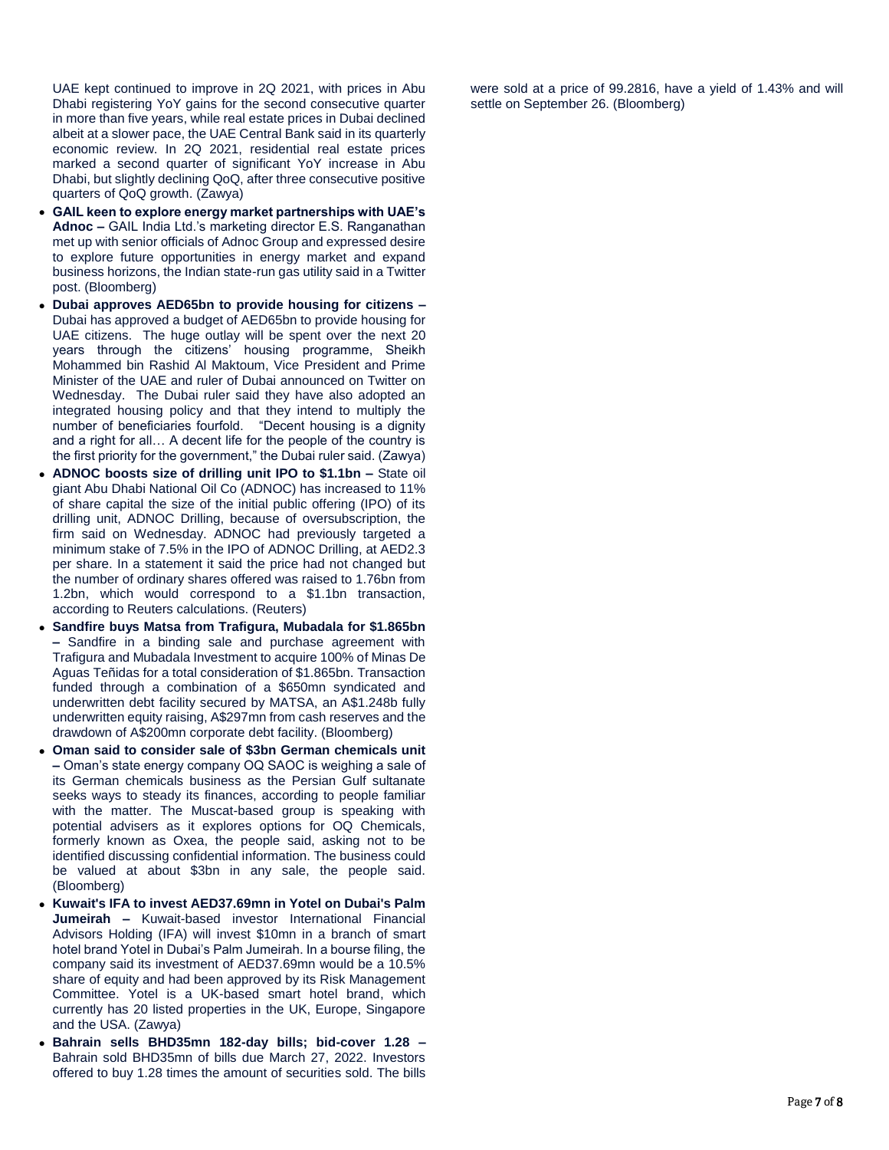UAE kept continued to improve in 2Q 2021, with prices in Abu Dhabi registering YoY gains for the second consecutive quarter in more than five years, while real estate prices in Dubai declined albeit at a slower pace, the UAE Central Bank said in its quarterly economic review. In 2Q 2021, residential real estate prices marked a second quarter of significant YoY increase in Abu Dhabi, but slightly declining QoQ, after three consecutive positive quarters of QoQ growth. (Zawya)

- **GAIL keen to explore energy market partnerships with UAE's Adnoc –** GAIL India Ltd.'s marketing director E.S. Ranganathan met up with senior officials of Adnoc Group and expressed desire to explore future opportunities in energy market and expand business horizons, the Indian state-run gas utility said in a Twitter post. (Bloomberg)
- **Dubai approves AED65bn to provide housing for citizens –** Dubai has approved a budget of AED65bn to provide housing for UAE citizens. The huge outlay will be spent over the next 20 years through the citizens' housing programme, Sheikh Mohammed bin Rashid Al Maktoum, Vice President and Prime Minister of the UAE and ruler of Dubai announced on Twitter on Wednesday. The Dubai ruler said they have also adopted an integrated housing policy and that they intend to multiply the number of beneficiaries fourfold. "Decent housing is a dignity and a right for all… A decent life for the people of the country is the first priority for the government," the Dubai ruler said. (Zawya)
- **ADNOC boosts size of drilling unit IPO to \$1.1bn –** State oil giant Abu Dhabi National Oil Co (ADNOC) has increased to 11% of share capital the size of the initial public offering (IPO) of its drilling unit, ADNOC Drilling, because of oversubscription, the firm said on Wednesday. ADNOC had previously targeted a minimum stake of 7.5% in the IPO of ADNOC Drilling, at AED2.3 per share. In a statement it said the price had not changed but the number of ordinary shares offered was raised to 1.76bn from 1.2bn, which would correspond to a \$1.1bn transaction, according to Reuters calculations. (Reuters)
- **Sandfire buys Matsa from Trafigura, Mubadala for \$1.865bn –** Sandfire in a binding sale and purchase agreement with Trafigura and Mubadala Investment to acquire 100% of Minas De Aguas Teñidas for a total consideration of \$1.865bn. Transaction funded through a combination of a \$650mn syndicated and underwritten debt facility secured by MATSA, an A\$1.248b fully underwritten equity raising, A\$297mn from cash reserves and the drawdown of A\$200mn corporate debt facility. (Bloomberg)
- **Oman said to consider sale of \$3bn German chemicals unit –** Oman's state energy company OQ SAOC is weighing a sale of its German chemicals business as the Persian Gulf sultanate seeks ways to steady its finances, according to people familiar with the matter. The Muscat-based group is speaking with potential advisers as it explores options for OQ Chemicals, formerly known as Oxea, the people said, asking not to be identified discussing confidential information. The business could be valued at about \$3bn in any sale, the people said. (Bloomberg)
- **Kuwait's IFA to invest AED37.69mn in Yotel on Dubai's Palm Jumeirah –** Kuwait-based investor International Financial Advisors Holding (IFA) will invest \$10mn in a branch of smart hotel brand Yotel in Dubai's Palm Jumeirah. In a bourse filing, the company said its investment of AED37.69mn would be a 10.5% share of equity and had been approved by its Risk Management Committee. Yotel is a UK-based smart hotel brand, which currently has 20 listed properties in the UK, Europe, Singapore and the USA. (Zawya)
- **Bahrain sells BHD35mn 182-day bills; bid-cover 1.28 –** Bahrain sold BHD35mn of bills due March 27, 2022. Investors offered to buy 1.28 times the amount of securities sold. The bills

were sold at a price of 99.2816, have a yield of 1.43% and will settle on September 26. (Bloomberg)